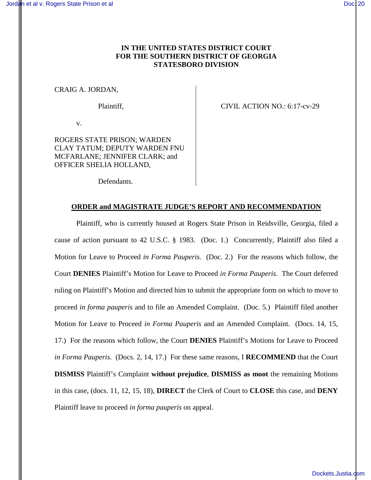# **IN THE UNITED STATES DISTRICT COURT FOR THE SOUTHERN DISTRICT OF GEORGIA STATESBORO DIVISION**

CRAIG A. JORDAN,

Plaintiff, Plaintiff, CIVIL ACTION NO.: 6:17-cv-29

v.

ROGERS STATE PRISON; WARDEN CLAY TATUM; DEPUTY WARDEN FNU MCFARLANE; JENNIFER CLARK; and OFFICER SHELIA HOLLAND,

Defendants.

## **ORDER and MAGISTRATE JUDGE'S REPORT AND RECOMMENDATION**

Plaintiff, who is currently housed at Rogers State Prison in Reidsville, Georgia, filed a cause of action pursuant to 42 U.S.C. § 1983. (Doc. 1.) Concurrently, Plaintiff also filed a Motion for Leave to Proceed *in Forma Pauperis*. (Doc. 2.) For the reasons which follow, the Court **DENIES** Plaintiff's Motion for Leave to Proceed *in Forma Pauperis*. The Court deferred ruling on Plaintiff's Motion and directed him to submit the appropriate form on which to move to proceed *in forma pauperis* and to file an Amended Complaint. (Doc. 5.) Plaintiff filed another Motion for Leave to Proceed *in Forma Pauperis* and an Amended Complaint. (Docs. 14, 15, 17.) For the reasons which follow, the Court **DENIES** Plaintiff's Motions for Leave to Proceed *in Forma Pauperis*. (Docs. 2, 14, 17.) For these same reasons, I **RECOMMEND** that the Court **DISMISS** Plaintiff's Complaint **without prejudice**, **DISMISS as moot** the remaining Motions in this case, (docs. 11, 12, 15, 18), **DIRECT** the Clerk of Court to **CLOSE** this case, and **DENY** Plaintiff leave to proceed *in forma pauperis* on appeal.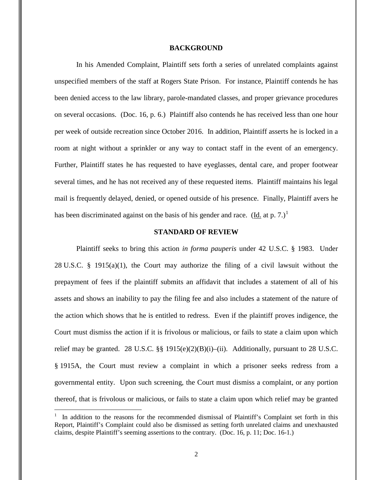### **BACKGROUND**

In his Amended Complaint, Plaintiff sets forth a series of unrelated complaints against unspecified members of the staff at Rogers State Prison. For instance, Plaintiff contends he has been denied access to the law library, parole-mandated classes, and proper grievance procedures on several occasions. (Doc. 16, p. 6.) Plaintiff also contends he has received less than one hour per week of outside recreation since October 2016. In addition, Plaintiff asserts he is locked in a room at night without a sprinkler or any way to contact staff in the event of an emergency. Further, Plaintiff states he has requested to have eyeglasses, dental care, and proper footwear several times, and he has not received any of these requested items. Plaintiff maintains his legal mail is frequently delayed, denied, or opened outside of his presence. Finally, Plaintiff avers he has been discriminated against on the basis of his gender and race. (Id. at p. 7.)<sup>1</sup>

## **STANDARD OF REVIEW**

Plaintiff seeks to bring this action *in forma pauperis* under 42 U.S.C. § 1983. Under 28 U.S.C. § 1915(a)(1), the Court may authorize the filing of a civil lawsuit without the prepayment of fees if the plaintiff submits an affidavit that includes a statement of all of his assets and shows an inability to pay the filing fee and also includes a statement of the nature of the action which shows that he is entitled to redress. Even if the plaintiff proves indigence, the Court must dismiss the action if it is frivolous or malicious, or fails to state a claim upon which relief may be granted. 28 U.S.C.  $\S$  1915(e)(2)(B)(i)–(ii). Additionally, pursuant to 28 U.S.C. § 1915A, the Court must review a complaint in which a prisoner seeks redress from a governmental entity. Upon such screening, the Court must dismiss a complaint, or any portion thereof, that is frivolous or malicious, or fails to state a claim upon which relief may be granted

 $\overline{a}$ 

<sup>1</sup> In addition to the reasons for the recommended dismissal of Plaintiff's Complaint set forth in this Report, Plaintiff's Complaint could also be dismissed as setting forth unrelated claims and unexhausted claims, despite Plaintiff's seeming assertions to the contrary. (Doc. 16, p. 11; Doc. 16-1.)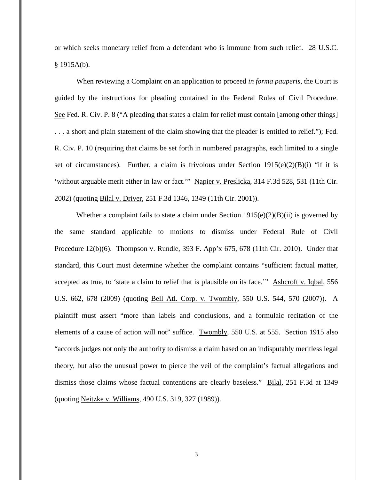or which seeks monetary relief from a defendant who is immune from such relief. 28 U.S.C. § 1915A(b).

When reviewing a Complaint on an application to proceed *in forma pauperis*, the Court is guided by the instructions for pleading contained in the Federal Rules of Civil Procedure. See Fed. R. Civ. P. 8 ("A pleading that states a claim for relief must contain [among other things] . . . a short and plain statement of the claim showing that the pleader is entitled to relief."); Fed. R. Civ. P. 10 (requiring that claims be set forth in numbered paragraphs, each limited to a single set of circumstances). Further, a claim is frivolous under Section  $1915(e)(2)(B)(i)$  "if it is 'without arguable merit either in law or fact.'" Napier v. Preslicka, 314 F.3d 528, 531 (11th Cir. 2002) (quoting Bilal v. Driver, 251 F.3d 1346, 1349 (11th Cir. 2001)).

Whether a complaint fails to state a claim under Section  $1915(e)(2)(B)(ii)$  is governed by the same standard applicable to motions to dismiss under Federal Rule of Civil Procedure 12(b)(6). Thompson v. Rundle, 393 F. App'x 675, 678 (11th Cir. 2010). Under that standard, this Court must determine whether the complaint contains "sufficient factual matter, accepted as true, to 'state a claim to relief that is plausible on its face.'" Ashcroft v. Iqbal, 556 U.S. 662, 678 (2009) (quoting Bell Atl. Corp. v. Twombly, 550 U.S. 544, 570 (2007)). A plaintiff must assert "more than labels and conclusions, and a formulaic recitation of the elements of a cause of action will not" suffice. Twombly, 550 U.S. at 555. Section 1915 also "accords judges not only the authority to dismiss a claim based on an indisputably meritless legal theory, but also the unusual power to pierce the veil of the complaint's factual allegations and dismiss those claims whose factual contentions are clearly baseless." Bilal, 251 F.3d at 1349 (quoting Neitzke v. Williams, 490 U.S. 319, 327 (1989)).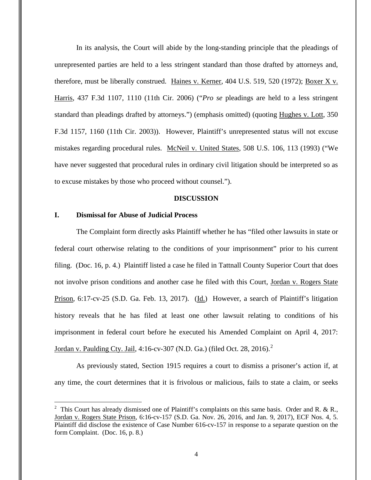In its analysis, the Court will abide by the long-standing principle that the pleadings of unrepresented parties are held to a less stringent standard than those drafted by attorneys and, therefore, must be liberally construed. Haines v. Kerner, 404 U.S. 519, 520 (1972); Boxer X v. Harris, 437 F.3d 1107, 1110 (11th Cir. 2006) ("*Pro se* pleadings are held to a less stringent standard than pleadings drafted by attorneys.") (emphasis omitted) (quoting Hughes v. Lott, 350 F.3d 1157, 1160 (11th Cir. 2003)). However, Plaintiff's unrepresented status will not excuse mistakes regarding procedural rules. McNeil v. United States, 508 U.S. 106, 113 (1993) ("We have never suggested that procedural rules in ordinary civil litigation should be interpreted so as to excuse mistakes by those who proceed without counsel.").

#### **DISCUSSION**

## **I. Dismissal for Abuse of Judicial Process**

 $\overline{a}$ 

The Complaint form directly asks Plaintiff whether he has "filed other lawsuits in state or federal court otherwise relating to the conditions of your imprisonment" prior to his current filing. (Doc. 16, p. 4.) Plaintiff listed a case he filed in Tattnall County Superior Court that does not involve prison conditions and another case he filed with this Court, Jordan v. Rogers State Prison, 6:17-cv-25 (S.D. Ga. Feb. 13, 2017). (Id.) However, a search of Plaintiff's litigation history reveals that he has filed at least one other lawsuit relating to conditions of his imprisonment in federal court before he executed his Amended Complaint on April 4, 2017: Jordan v. Paulding Cty. Jail, 4:16-cv-307 (N.D. Ga.) (filed Oct. 28, 2016).<sup>2</sup>

As previously stated, Section 1915 requires a court to dismiss a prisoner's action if, at any time, the court determines that it is frivolous or malicious, fails to state a claim, or seeks

<sup>&</sup>lt;sup>2</sup> This Court has already dismissed one of Plaintiff's complaints on this same basis. Order and R. & R., Jordan v. Rogers State Prison, 6:16-cv-157 (S.D. Ga. Nov. 26, 2016, and Jan. 9, 2017), ECF Nos. 4, 5. Plaintiff did disclose the existence of Case Number 616-cv-157 in response to a separate question on the form Complaint. (Doc. 16, p. 8.)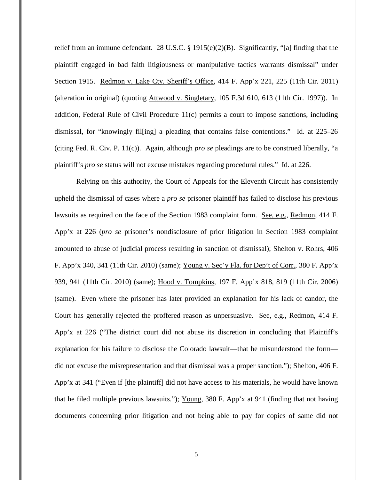relief from an immune defendant. 28 U.S.C. § 1915(e)(2)(B). Significantly, "[a] finding that the plaintiff engaged in bad faith litigiousness or manipulative tactics warrants dismissal" under Section 1915. Redmon v. Lake Cty. Sheriff's Office, 414 F. App'x 221, 225 (11th Cir. 2011) (alteration in original) (quoting Attwood v. Singletary, 105 F.3d 610, 613 (11th Cir. 1997)). In addition, Federal Rule of Civil Procedure 11(c) permits a court to impose sanctions, including dismissal, for "knowingly fil[ing] a pleading that contains false contentions." Id. at 225–26 (citing Fed. R. Civ. P. 11(c)). Again, although *pro se* pleadings are to be construed liberally, "a plaintiff's *pro se* status will not excuse mistakes regarding procedural rules." Id. at 226.

Relying on this authority, the Court of Appeals for the Eleventh Circuit has consistently upheld the dismissal of cases where a *pro se* prisoner plaintiff has failed to disclose his previous lawsuits as required on the face of the Section 1983 complaint form. See, e.g., Redmon, 414 F. App'x at 226 (*pro se* prisoner's nondisclosure of prior litigation in Section 1983 complaint amounted to abuse of judicial process resulting in sanction of dismissal); Shelton v. Rohrs, 406 F. App'x 340, 341 (11th Cir. 2010) (same); Young v. Sec'y Fla. for Dep't of Corr., 380 F. App'x 939, 941 (11th Cir. 2010) (same); Hood v. Tompkins, 197 F. App'x 818, 819 (11th Cir. 2006) (same). Even where the prisoner has later provided an explanation for his lack of candor, the Court has generally rejected the proffered reason as unpersuasive. See, e.g., Redmon, 414 F. App'x at 226 ("The district court did not abuse its discretion in concluding that Plaintiff's explanation for his failure to disclose the Colorado lawsuit—that he misunderstood the form did not excuse the misrepresentation and that dismissal was a proper sanction."); Shelton, 406 F. App'x at 341 ("Even if [the plaintiff] did not have access to his materials, he would have known that he filed multiple previous lawsuits."); Young, 380 F. App'x at 941 (finding that not having documents concerning prior litigation and not being able to pay for copies of same did not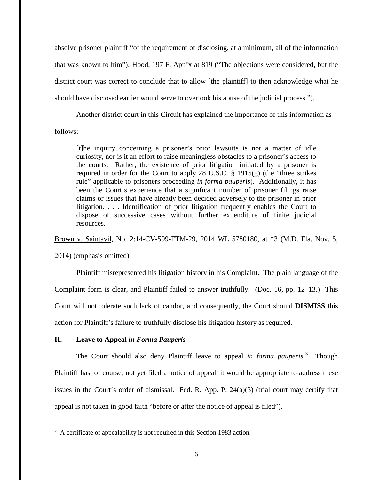absolve prisoner plaintiff "of the requirement of disclosing, at a minimum, all of the information that was known to him"); Hood, 197 F. App'x at 819 ("The objections were considered, but the district court was correct to conclude that to allow [the plaintiff] to then acknowledge what he should have disclosed earlier would serve to overlook his abuse of the judicial process.").

 Another district court in this Circuit has explained the importance of this information as follows:

[t]he inquiry concerning a prisoner's prior lawsuits is not a matter of idle curiosity, nor is it an effort to raise meaningless obstacles to a prisoner's access to the courts. Rather, the existence of prior litigation initiated by a prisoner is required in order for the Court to apply 28 U.S.C. § 1915(g) (the "three strikes rule" applicable to prisoners proceeding *in forma pauperis*). Additionally, it has been the Court's experience that a significant number of prisoner filings raise claims or issues that have already been decided adversely to the prisoner in prior litigation. . . . Identification of prior litigation frequently enables the Court to dispose of successive cases without further expenditure of finite judicial resources.

Brown v. Saintavil, No. 2:14-CV-599-FTM-29, 2014 WL 5780180, at \*3 (M.D. Fla. Nov. 5,

2014) (emphasis omitted).

<u>.</u>

Plaintiff misrepresented his litigation history in his Complaint. The plain language of the Complaint form is clear, and Plaintiff failed to answer truthfully. (Doc. 16, pp. 12–13.) This Court will not tolerate such lack of candor, and consequently, the Court should **DISMISS** this action for Plaintiff's failure to truthfully disclose his litigation history as required.

# **II. Leave to Appeal** *in Forma Pauperis*

The Court should also deny Plaintiff leave to appeal *in forma pauperis*. 3 Though Plaintiff has, of course, not yet filed a notice of appeal, it would be appropriate to address these issues in the Court's order of dismissal. Fed. R. App. P. 24(a)(3) (trial court may certify that appeal is not taken in good faith "before or after the notice of appeal is filed").

 $3\,$  A certificate of appealability is not required in this Section 1983 action.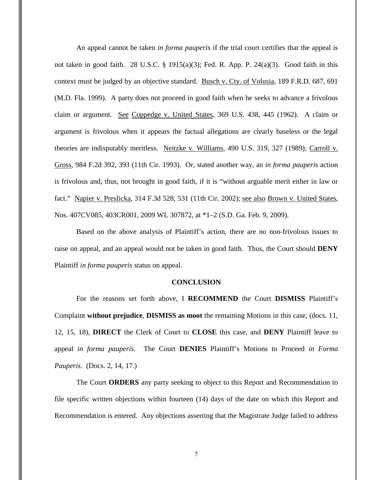An appeal cannot be taken *in forma pauperis* if the trial court certifies that the appeal is not taken in good faith. 28 U.S.C. § 1915(a)(3); Fed. R. App. P. 24(a)(3). Good faith in this context must be judged by an objective standard. Busch v. Cty. of Volusia, 189 F.R.D. 687, 691 (M.D. Fla. 1999). A party does not proceed in good faith when he seeks to advance a frivolous claim or argument. See Coppedge v. United States, 369 U.S. 438, 445 (1962). A claim or argument is frivolous when it appears the factual allegations are clearly baseless or the legal theories are indisputably meritless. Neitzke v. Williams, 490 U.S. 319, 327 (1989); Carroll v. Gross, 984 F.2d 392, 393 (11th Cir. 1993). Or, stated another way, an *in forma pauperis* action is frivolous and, thus, not brought in good faith, if it is "without arguable merit either in law or fact." Napier v. Preslicka, 314 F.3d 528, 531 (11th Cir. 2002); see also Brown v. United States, Nos. 407CV085, 403CR001, 2009 WL 307872, at \*1–2 (S.D. Ga. Feb. 9, 2009).

Based on the above analysis of Plaintiff's action, there are no non-frivolous issues to raise on appeal, and an appeal would not be taken in good faith. Thus, the Court should **DENY** Plaintiff *in forma pauperis* status on appeal.

## **CONCLUSION**

For the reasons set forth above, I **RECOMMEND** the Court **DISMISS** Plaintiff's Complaint **without prejudice**, **DISMISS as moot** the remaining Motions in this case, (docs. 11, 12, 15, 18), **DIRECT** the Clerk of Court to **CLOSE** this case, and **DENY** Plaintiff leave to appeal *in forma pauperis*. The Court **DENIES** Plaintiff's Motions to Proceed *in Forma Pauperis*. (Docs. 2, 14, 17.)

The Court **ORDERS** any party seeking to object to this Report and Recommendation to file specific written objections within fourteen (14) days of the date on which this Report and Recommendation is entered. Any objections asserting that the Magistrate Judge failed to address